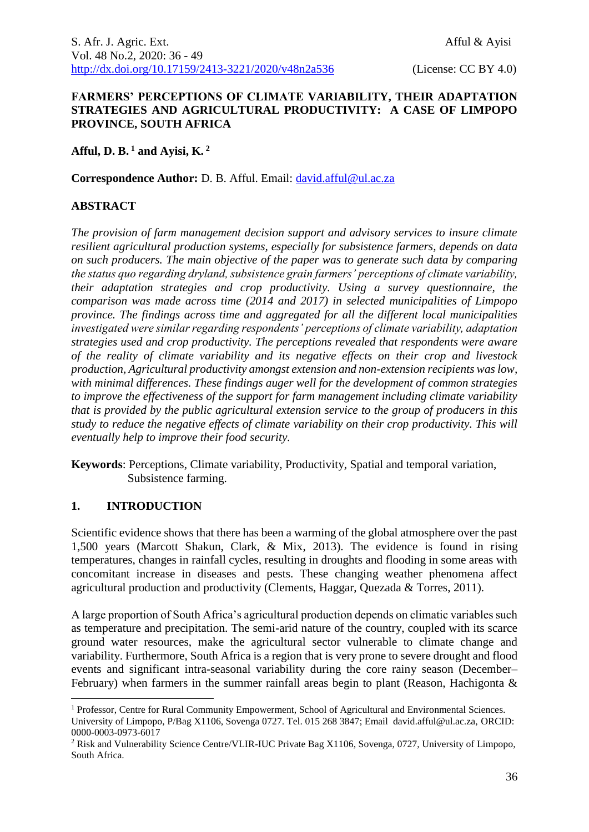## **FARMERS' PERCEPTIONS OF CLIMATE VARIABILITY, THEIR ADAPTATION STRATEGIES AND AGRICULTURAL PRODUCTIVITY: A CASE OF LIMPOPO PROVINCE, SOUTH AFRICA**

**Afful, D. B. <sup>1</sup> and Ayisi, K. <sup>2</sup>**

**Correspondence Author:** D. B. Afful. Email: [david.afful@ul.ac.za](mailto:david.afful@ul.ac.za)

## **ABSTRACT**

*The provision of farm management decision support and advisory services to insure climate resilient agricultural production systems, especially for subsistence farmers, depends on data on such producers. The main objective of the paper was to generate such data by comparing the status quo regarding dryland, subsistence grain farmers' perceptions of climate variability, their adaptation strategies and crop productivity. Using a survey questionnaire, the comparison was made across time (2014 and 2017) in selected municipalities of Limpopo province. The findings across time and aggregated for all the different local municipalities investigated were similar regarding respondents' perceptions of climate variability, adaptation strategies used and crop productivity. The perceptions revealed that respondents were aware of the reality of climate variability and its negative effects on their crop and livestock production, Agricultural productivity amongst extension and non-extension recipients was low, with minimal differences. These findings auger well for the development of common strategies to improve the effectiveness of the support for farm management including climate variability that is provided by the public agricultural extension service to the group of producers in this study to reduce the negative effects of climate variability on their crop productivity. This will eventually help to improve their food security.*

**Keywords**: Perceptions, Climate variability, Productivity, Spatial and temporal variation, Subsistence farming.

### **1. INTRODUCTION**

1

Scientific evidence shows that there has been a warming of the global atmosphere over the past 1,500 years (Marcott Shakun, Clark, & Mix, 2013). The evidence is found in rising temperatures, changes in rainfall cycles, resulting in droughts and flooding in some areas with concomitant increase in diseases and pests. These changing weather phenomena affect agricultural production and productivity (Clements, Haggar, Quezada & Torres, 2011).

A large proportion of South Africa's agricultural production depends on climatic variables such as temperature and precipitation. The semi-arid nature of the country, coupled with its scarce ground water resources, make the agricultural sector vulnerable to climate change and variability. Furthermore, South Africa is a region that is very prone to severe drought and flood events and significant intra-seasonal variability during the core rainy season (December– February) when farmers in the summer rainfall areas begin to plant (Reason, Hachigonta &

<sup>1</sup> Professor, Centre for Rural Community Empowerment, School of Agricultural and Environmental Sciences. University of Limpopo, P/Bag X1106, Sovenga 0727. Tel. 015 268 3847; Email david.afful@ul.ac.za, ORCID: 0000-0003-0973-6017

<sup>2</sup> Risk and Vulnerability Science Centre/VLIR-IUC Private Bag X1106, Sovenga, 0727, University of Limpopo, South Africa.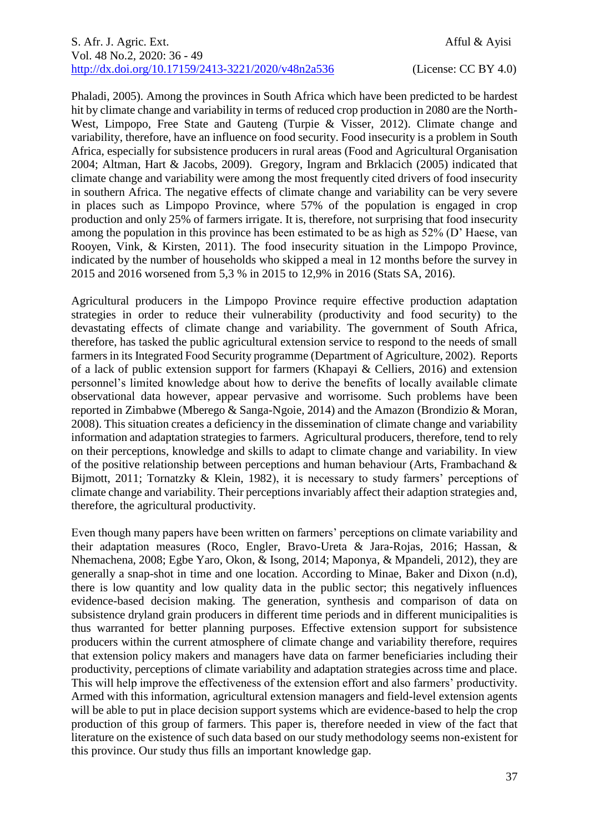Phaladi, 2005). Among the provinces in South Africa which have been predicted to be hardest hit by climate change and variability in terms of reduced crop production in 2080 are the North-West, Limpopo, Free State and Gauteng (Turpie & Visser, 2012). Climate change and variability, therefore, have an influence on food security. Food insecurity is a problem in South Africa, especially for subsistence producers in rural areas (Food and Agricultural Organisation 2004; Altman, Hart & Jacobs, 2009). Gregory, Ingram and Brklacich (2005) indicated that climate change and variability were among the most frequently cited drivers of food insecurity in southern Africa. The negative effects of climate change and variability can be very severe in places such as Limpopo Province, where 57% of the population is engaged in crop production and only 25% of farmers irrigate. It is, therefore, not surprising that food insecurity among the population in this province has been estimated to be as high as 52% (D' Haese, van Rooyen, Vink, & Kirsten, 2011). The food insecurity situation in the Limpopo Province, indicated by the number of households who skipped a meal in 12 months before the survey in 2015 and 2016 worsened from 5,3 % in 2015 to 12,9% in 2016 (Stats SA, 2016).

Agricultural producers in the Limpopo Province require effective production adaptation strategies in order to reduce their vulnerability (productivity and food security) to the devastating effects of climate change and variability. The government of South Africa, therefore, has tasked the public agricultural extension service to respond to the needs of small farmers in its Integrated Food Security programme (Department of Agriculture, 2002). Reports of a lack of public extension support for farmers (Khapayi & Celliers, 2016) and extension personnel's limited knowledge about how to derive the benefits of locally available climate observational data however, appear pervasive and worrisome. Such problems have been reported in Zimbabwe (Mberego & Sanga-Ngoie, 2014) and the Amazon (Brondizio & Moran, 2008). This situation creates a deficiency in the dissemination of climate change and variability information and adaptation strategies to farmers. Agricultural producers, therefore, tend to rely on their perceptions, knowledge and skills to adapt to climate change and variability. In view of the positive relationship between perceptions and human behaviour (Arts, Frambachand & Bijmott, 2011; Tornatzky & Klein, 1982), it is necessary to study farmers' perceptions of climate change and variability. Their perceptions invariably affect their adaption strategies and, therefore, the agricultural productivity.

Even though many papers have been written on farmers' perceptions on climate variability and their adaptation measures (Roco, Engler, Bravo-Ureta & Jara-Rojas, 2016; Hassan, & Nhemachena, 2008; Egbe Yaro, Okon, & Isong, 2014; Maponya, & Mpandeli, 2012), they are generally a snap-shot in time and one location. According to Minae, Baker and Dixon (n.d), there is low quantity and low quality data in the public sector; this negatively influences evidence-based decision making. The generation, synthesis and comparison of data on subsistence dryland grain producers in different time periods and in different municipalities is thus warranted for better planning purposes. Effective extension support for subsistence producers within the current atmosphere of climate change and variability therefore, requires that extension policy makers and managers have data on farmer beneficiaries including their productivity, perceptions of climate variability and adaptation strategies across time and place. This will help improve the effectiveness of the extension effort and also farmers' productivity. Armed with this information, agricultural extension managers and field-level extension agents will be able to put in place decision support systems which are evidence-based to help the crop production of this group of farmers. This paper is, therefore needed in view of the fact that literature on the existence of such data based on our study methodology seems non-existent for this province. Our study thus fills an important knowledge gap.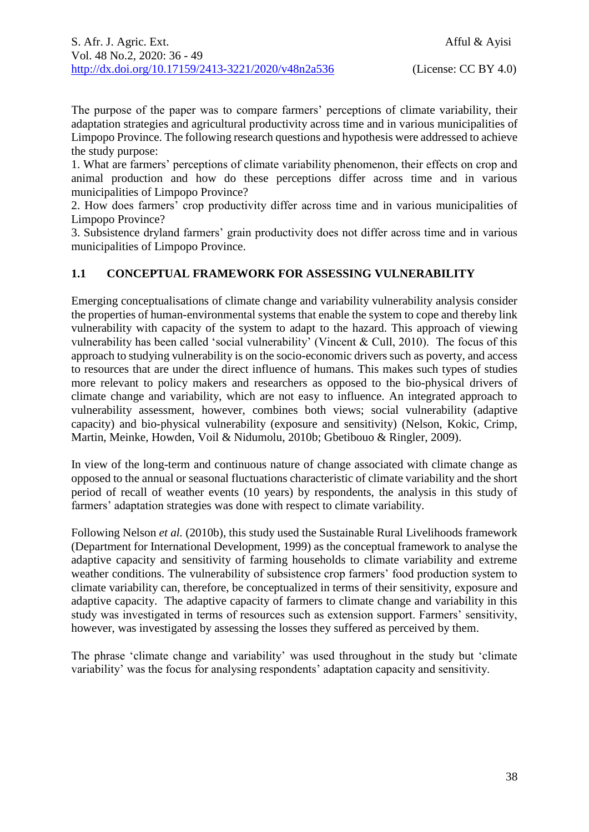The purpose of the paper was to compare farmers' perceptions of climate variability, their adaptation strategies and agricultural productivity across time and in various municipalities of Limpopo Province. The following research questions and hypothesis were addressed to achieve the study purpose:

1. What are farmers' perceptions of climate variability phenomenon, their effects on crop and animal production and how do these perceptions differ across time and in various municipalities of Limpopo Province?

2. How does farmers' crop productivity differ across time and in various municipalities of Limpopo Province?

3. Subsistence dryland farmers' grain productivity does not differ across time and in various municipalities of Limpopo Province.

# **1.1 CONCEPTUAL FRAMEWORK FOR ASSESSING VULNERABILITY**

Emerging conceptualisations of climate change and variability vulnerability analysis consider the properties of human-environmental systems that enable the system to cope and thereby link vulnerability with capacity of the system to adapt to the hazard. This approach of viewing vulnerability has been called 'social vulnerability' (Vincent & Cull, 2010). The focus of this approach to studying vulnerability is on the socio-economic drivers such as poverty, and access to resources that are under the direct influence of humans. This makes such types of studies more relevant to policy makers and researchers as opposed to the bio-physical drivers of climate change and variability, which are not easy to influence. An integrated approach to vulnerability assessment, however, combines both views; social vulnerability (adaptive capacity) and bio-physical vulnerability (exposure and sensitivity) (Nelson, Kokic, Crimp, Martin, Meinke, Howden, Voil & Nidumolu, 2010b; Gbetibouo & Ringler, 2009).

In view of the long-term and continuous nature of change associated with climate change as opposed to the annual or seasonal fluctuations characteristic of climate variability and the short period of recall of weather events (10 years) by respondents, the analysis in this study of farmers' adaptation strategies was done with respect to climate variability.

Following Nelson *et al.* (2010b), this study used the Sustainable Rural Livelihoods framework (Department for International Development, 1999) as the conceptual framework to analyse the adaptive capacity and sensitivity of farming households to climate variability and extreme weather conditions. The vulnerability of subsistence crop farmers' food production system to climate variability can, therefore, be conceptualized in terms of their sensitivity, exposure and adaptive capacity. The adaptive capacity of farmers to climate change and variability in this study was investigated in terms of resources such as extension support. Farmers' sensitivity, however, was investigated by assessing the losses they suffered as perceived by them.

The phrase 'climate change and variability' was used throughout in the study but 'climate variability' was the focus for analysing respondents' adaptation capacity and sensitivity.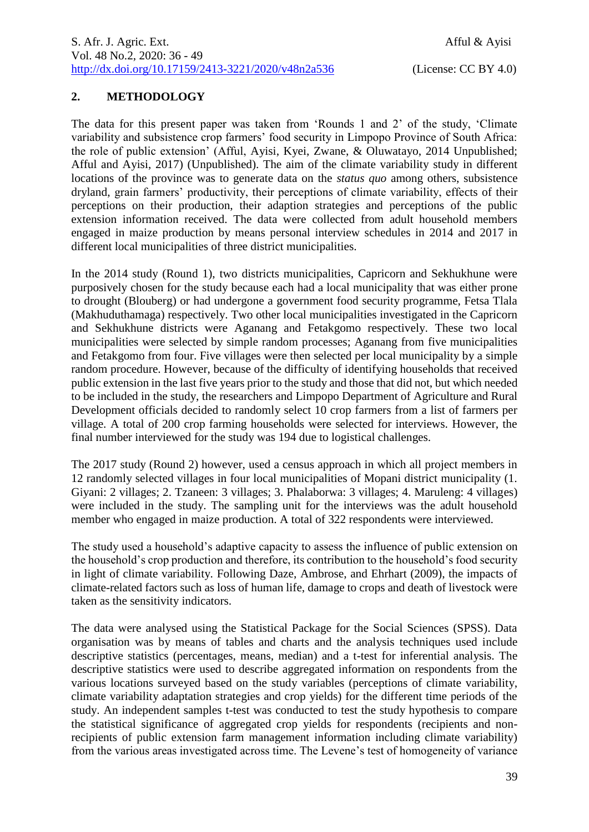# **2. METHODOLOGY**

The data for this present paper was taken from 'Rounds 1 and 2' of the study, 'Climate variability and subsistence crop farmers' food security in Limpopo Province of South Africa: the role of public extension' (Afful, Ayisi, Kyei, Zwane, & Oluwatayo, 2014 Unpublished; Afful and Ayisi, 2017) (Unpublished). The aim of the climate variability study in different locations of the province was to generate data on the *status quo* among others, subsistence dryland, grain farmers' productivity, their perceptions of climate variability, effects of their perceptions on their production, their adaption strategies and perceptions of the public extension information received. The data were collected from adult household members engaged in maize production by means personal interview schedules in 2014 and 2017 in different local municipalities of three district municipalities.

In the 2014 study (Round 1), two districts municipalities, Capricorn and Sekhukhune were purposively chosen for the study because each had a local municipality that was either prone to drought (Blouberg) or had undergone a government food security programme, Fetsa Tlala (Makhuduthamaga) respectively. Two other local municipalities investigated in the Capricorn and Sekhukhune districts were Aganang and Fetakgomo respectively. These two local municipalities were selected by simple random processes; Aganang from five municipalities and Fetakgomo from four. Five villages were then selected per local municipality by a simple random procedure. However, because of the difficulty of identifying households that received public extension in the last five years prior to the study and those that did not, but which needed to be included in the study, the researchers and Limpopo Department of Agriculture and Rural Development officials decided to randomly select 10 crop farmers from a list of farmers per village. A total of 200 crop farming households were selected for interviews. However, the final number interviewed for the study was 194 due to logistical challenges.

The 2017 study (Round 2) however, used a census approach in which all project members in 12 randomly selected villages in four local municipalities of Mopani district municipality (1. Giyani: 2 villages; 2. Tzaneen: 3 villages; 3. Phalaborwa: 3 villages; 4. Maruleng: 4 villages) were included in the study. The sampling unit for the interviews was the adult household member who engaged in maize production. A total of 322 respondents were interviewed.

The study used a household's adaptive capacity to assess the influence of public extension on the household's crop production and therefore, its contribution to the household's food security in light of climate variability. Following Daze, Ambrose, and Ehrhart (2009), the impacts of climate-related factors such as loss of human life, damage to crops and death of livestock were taken as the sensitivity indicators.

The data were analysed using the Statistical Package for the Social Sciences (SPSS). Data organisation was by means of tables and charts and the analysis techniques used include descriptive statistics (percentages, means, median) and a t-test for inferential analysis. The descriptive statistics were used to describe aggregated information on respondents from the various locations surveyed based on the study variables (perceptions of climate variability, climate variability adaptation strategies and crop yields) for the different time periods of the study. An independent samples t-test was conducted to test the study hypothesis to compare the statistical significance of aggregated crop yields for respondents (recipients and nonrecipients of public extension farm management information including climate variability) from the various areas investigated across time. The Levene's test of homogeneity of variance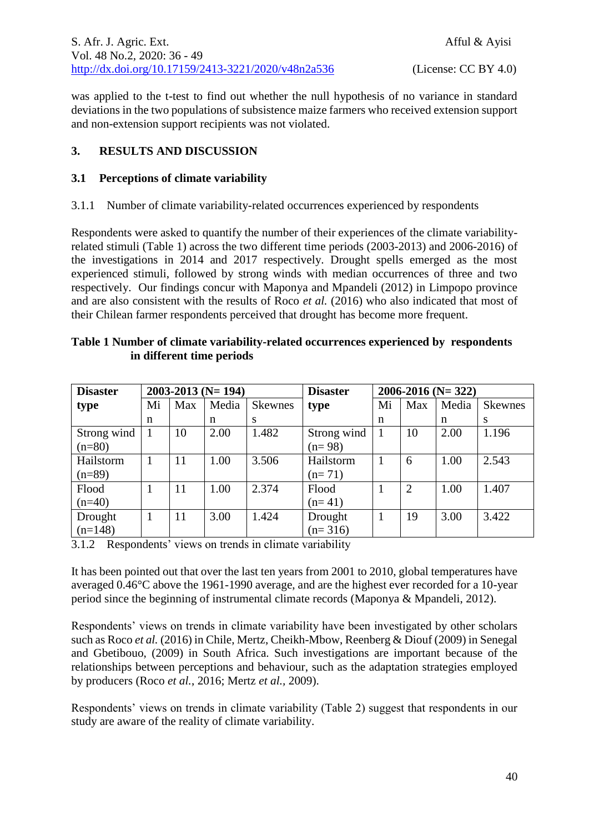was applied to the t-test to find out whether the null hypothesis of no variance in standard deviations in the two populations of subsistence maize farmers who received extension support and non-extension support recipients was not violated.

# **3. RESULTS AND DISCUSSION**

## **3.1 Perceptions of climate variability**

3.1.1 Number of climate variability-related occurrences experienced by respondents

Respondents were asked to quantify the number of their experiences of the climate variabilityrelated stimuli (Table 1) across the two different time periods (2003-2013) and 2006-2016) of the investigations in 2014 and 2017 respectively. Drought spells emerged as the most experienced stimuli, followed by strong winds with median occurrences of three and two respectively. Our findings concur with Maponya and Mpandeli (2012) in Limpopo province and are also consistent with the results of Roco *et al.* (2016) who also indicated that most of their Chilean farmer respondents perceived that drought has become more frequent.

## **Table 1 Number of climate variability-related occurrences experienced by respondents in different time periods**

| <b>Disaster</b> |    |     | $2003 - 2013$ (N= 194) |              | <b>Disaster</b> |    |                | $2006 - 2016$ (N= 322) |              |
|-----------------|----|-----|------------------------|--------------|-----------------|----|----------------|------------------------|--------------|
| type            | Mi | Max | Media                  | Skewnes      | type            | Mi | Max            | Media                  | Skewnes      |
|                 | n  |     | n                      | <sup>S</sup> |                 | n  |                | n                      | <sup>S</sup> |
| Strong wind     |    | 10  | 2.00                   | 1.482        | Strong wind     |    | 10             | 2.00                   | 1.196        |
| $(n=80)$        |    |     |                        |              | $(n=98)$        |    |                |                        |              |
| Hailstorm       |    | 11  | 1.00                   | 3.506        | Hailstorm       | 1  | 6              | 1.00                   | 2.543        |
| $(n=89)$        |    |     |                        |              | $(n=71)$        |    |                |                        |              |
| Flood           |    | 11  | 1.00                   | 2.374        | Flood           | 1  | $\overline{2}$ | 1.00                   | 1.407        |
| $(n=40)$        |    |     |                        |              | $(n=41)$        |    |                |                        |              |
| Drought         |    | 11  | 3.00                   | 1.424        | Drought         |    | 19             | 3.00                   | 3.422        |
| $(n=148)$       |    |     |                        |              | $(n=316)$       |    |                |                        |              |

3.1.2 Respondents' views on trends in climate variability

It has been pointed out that over the last ten years from 2001 to 2010, global temperatures have averaged 0.46°C above the 1961-1990 average, and are the highest ever recorded for a 10-year period since the beginning of instrumental climate records (Maponya & Mpandeli, 2012).

Respondents' views on trends in climate variability have been investigated by other scholars such as Roco *et al.* (2016) in Chile, Mertz, Cheikh-Mbow, Reenberg & Diouf (2009) in Senegal and Gbetibouo, (2009) in South Africa. Such investigations are important because of the relationships between perceptions and behaviour, such as the adaptation strategies employed by producers (Roco *et al.*, 2016; Mertz *et al.,* 2009).

Respondents' views on trends in climate variability (Table 2) suggest that respondents in our study are aware of the reality of climate variability.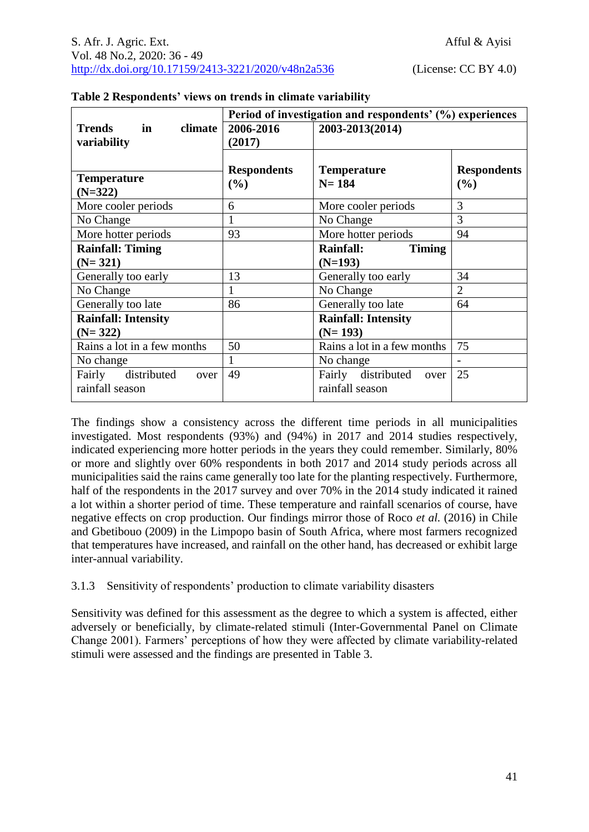|                                                          | Period of investigation and respondents' (%) experiences |                                               |                              |  |
|----------------------------------------------------------|----------------------------------------------------------|-----------------------------------------------|------------------------------|--|
| <b>Trends</b><br>climate<br>$\mathbf{in}$<br>variability | 2006-2016<br>2003-2013(2014)<br>(2017)                   |                                               |                              |  |
| <b>Temperature</b><br>$(N=322)$                          | <b>Respondents</b><br>(%)                                | <b>Temperature</b><br>$N = 184$               | <b>Respondents</b><br>$($ %) |  |
| More cooler periods                                      | 6                                                        | More cooler periods                           | 3                            |  |
| No Change                                                | 1                                                        | No Change                                     | 3                            |  |
| More hotter periods                                      | 93                                                       | More hotter periods                           | 94                           |  |
| <b>Rainfall: Timing</b>                                  |                                                          | <b>Rainfall:</b><br><b>Timing</b>             |                              |  |
| $(N=321)$                                                |                                                          | $(N=193)$                                     |                              |  |
| Generally too early                                      | 13                                                       | Generally too early                           | 34                           |  |
| No Change                                                | 1                                                        | No Change                                     | $\overline{2}$               |  |
| Generally too late                                       | 86                                                       | Generally too late                            | 64                           |  |
| <b>Rainfall: Intensity</b><br>$(N=322)$                  |                                                          | <b>Rainfall: Intensity</b><br>$(N=193)$       |                              |  |
| Rains a lot in a few months                              | 50                                                       | Rains a lot in a few months                   | 75                           |  |
| No change                                                | 1                                                        | No change                                     |                              |  |
| Fairly distributed<br>over<br>rainfall season            | 49                                                       | Fairly distributed<br>over<br>rainfall season | 25                           |  |

### **Table 2 Respondents' views on trends in climate variability**

The findings show a consistency across the different time periods in all municipalities investigated. Most respondents (93%) and (94%) in 2017 and 2014 studies respectively, indicated experiencing more hotter periods in the years they could remember. Similarly, 80% or more and slightly over 60% respondents in both 2017 and 2014 study periods across all municipalities said the rains came generally too late for the planting respectively. Furthermore, half of the respondents in the 2017 survey and over 70% in the 2014 study indicated it rained a lot within a shorter period of time. These temperature and rainfall scenarios of course, have negative effects on crop production. Our findings mirror those of Roco *et al.* (2016) in Chile and Gbetibouo (2009) in the Limpopo basin of South Africa, where most farmers recognized that temperatures have increased, and rainfall on the other hand, has decreased or exhibit large inter-annual variability.

### 3.1.3 Sensitivity of respondents' production to climate variability disasters

Sensitivity was defined for this assessment as the degree to which a system is affected, either adversely or beneficially, by climate-related stimuli (Inter-Governmental Panel on Climate Change 2001). Farmers' perceptions of how they were affected by climate variability-related stimuli were assessed and the findings are presented in Table 3.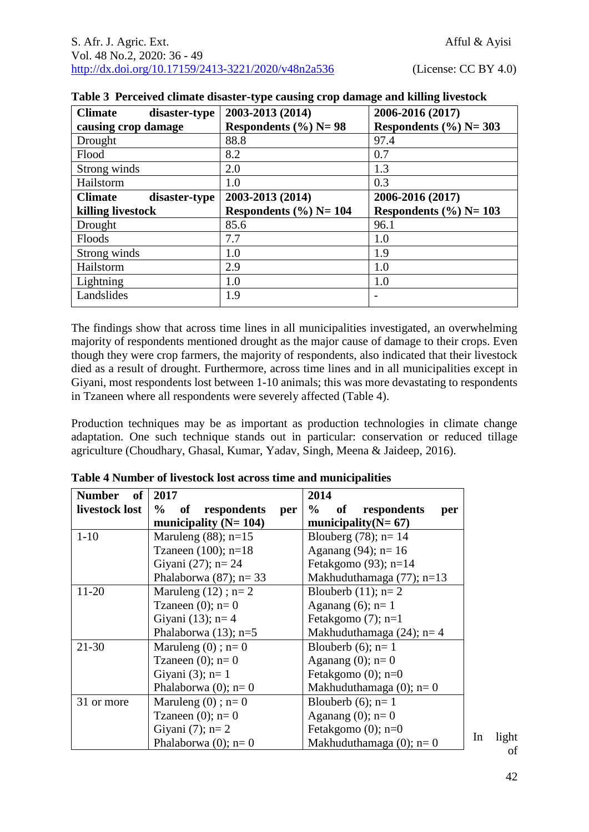| <b>Climate</b><br>disaster-type | 2003-2013 (2014)          | 2006-2016 (2017)          |
|---------------------------------|---------------------------|---------------------------|
| causing crop damage             | Respondents $(\%)$ N= 98  | Respondents $(\%)$ N= 303 |
| Drought                         | 88.8                      | 97.4                      |
| Flood                           | 8.2                       | 0.7                       |
| Strong winds                    | 2.0                       | 1.3                       |
| Hailstorm                       | 1.0                       | 0.3                       |
| <b>Climate</b><br>disaster-type | 2003-2013 (2014)          | 2006-2016 (2017)          |
| killing livestock               | Respondents $(\%)$ N= 104 | Respondents $(\%)$ N= 103 |
| Drought                         | 85.6                      | 96.1                      |
| Floods                          | 7.7                       | 1.0                       |
| Strong winds                    | 1.0                       | 1.9                       |
| Hailstorm                       | 2.9                       | 1.0                       |
| Lightning                       | 1.0                       | 1.0                       |
| Landslides                      | 1.9                       |                           |

|  | Table 3 Perceived climate disaster-type causing crop damage and killing livestock |  |  |  |
|--|-----------------------------------------------------------------------------------|--|--|--|
|  |                                                                                   |  |  |  |
|  |                                                                                   |  |  |  |

The findings show that across time lines in all municipalities investigated, an overwhelming majority of respondents mentioned drought as the major cause of damage to their crops. Even though they were crop farmers, the majority of respondents, also indicated that their livestock died as a result of drought. Furthermore, across time lines and in all municipalities except in Giyani, most respondents lost between 1-10 animals; this was more devastating to respondents in Tzaneen where all respondents were severely affected (Table 4).

Production techniques may be as important as production technologies in climate change adaptation. One such technique stands out in particular: conservation or reduced tillage agriculture (Choudhary, Ghasal, Kumar, Yadav, Singh, Meena & Jaideep, 2016).

| <b>Number</b><br>of | 2017                                         | 2014                             |
|---------------------|----------------------------------------------|----------------------------------|
| livestock lost      | $\%$<br>of<br>respondents<br>per             | $\%$<br>respondents<br>of<br>per |
|                     | municipality $(N=104)$                       | municipality( $N = 67$ )         |
| $1 - 10$            | Maruleng $(88)$ ; n=15                       | Blouberg $(78)$ ; n= 14          |
|                     | Tzaneen $(100)$ ; n=18                       | Aganang $(94)$ ; n= 16           |
|                     | Giyani $(27)$ ; n= 24                        | Fetakgomo $(93)$ ; n=14          |
|                     | Phalaborwa $(87)$ ; n= 33                    | Makhuduthamaga (77); n=13        |
| $11 - 20$           | Maruleng $(12)$ ; n= 2                       | Blouberb $(11)$ ; n= 2           |
|                     | Tzaneen $(0)$ ; n= 0                         | Aganang $(6)$ ; n= 1             |
|                     | Giyani $(13)$ ; n= 4                         | Fetakgomo $(7)$ ; n=1            |
|                     | Phalaborwa $(13)$ ; n=5                      | Makhuduthamaga $(24)$ ; n= 4     |
| $21 - 30$           | Maruleng $(0)$ ; n= 0                        | Blouberb $(6)$ ; n= 1            |
|                     | Tzaneen $(0)$ ; n= 0                         | Aganang $(0)$ ; n= 0             |
|                     | Giyani $(3)$ ; n= 1                          | Fetakgomo $(0)$ ; n=0            |
|                     | Phalaborwa $(0)$ ; n= 0                      | Makhuduthamaga $(0)$ ; n= 0      |
| 31 or more          | Maruleng $(0)$ ; n= 0                        | Blouberb $(6)$ ; n= 1            |
|                     | Tzaneen $(0)$ ; n= 0<br>Aganang $(0)$ ; n= 0 |                                  |
|                     | Giyani $(7)$ ; n= 2                          | Fetakgomo $(0)$ ; n=0            |
|                     | Phalaborwa $(0)$ ; n= 0                      | Makhuduthamaga $(0)$ ; n= 0      |

|  |  |  |  |  |  |  | Table 4 Number of livestock lost across time and municipalities |
|--|--|--|--|--|--|--|-----------------------------------------------------------------|
|--|--|--|--|--|--|--|-----------------------------------------------------------------|

In light of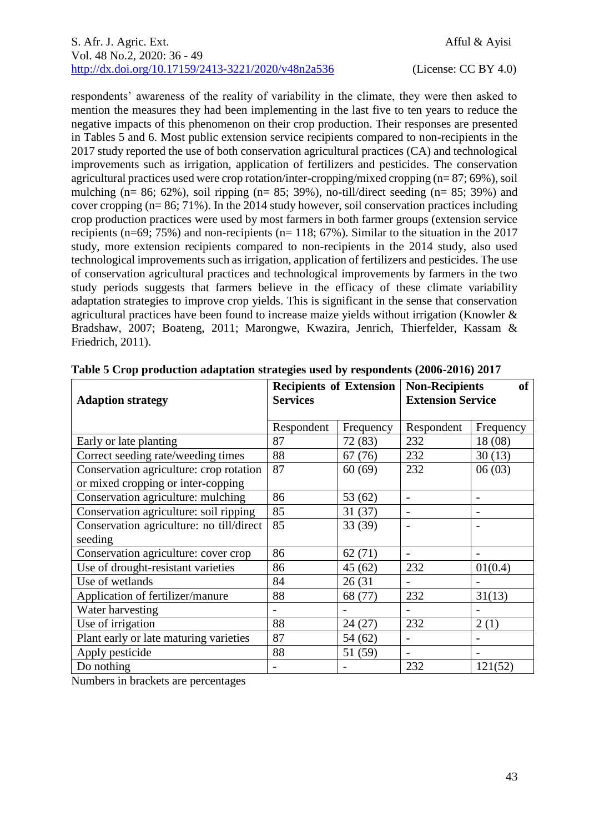respondents' awareness of the reality of variability in the climate, they were then asked to mention the measures they had been implementing in the last five to ten years to reduce the negative impacts of this phenomenon on their crop production. Their responses are presented in Tables 5 and 6. Most public extension service recipients compared to non-recipients in the 2017 study reported the use of both conservation agricultural practices (CA) and technological improvements such as irrigation, application of fertilizers and pesticides. The conservation agricultural practices used were crop rotation/inter-cropping/mixed cropping (n= 87; 69%), soil mulching (n= 86; 62%), soil ripping (n= 85; 39%), no-till/direct seeding (n= 85; 39%) and cover cropping (n= 86; 71%). In the 2014 study however, soil conservation practices including crop production practices were used by most farmers in both farmer groups (extension service recipients (n=69; 75%) and non-recipients (n= 118; 67%). Similar to the situation in the 2017 study, more extension recipients compared to non-recipients in the 2014 study, also used technological improvements such as irrigation, application of fertilizers and pesticides. The use of conservation agricultural practices and technological improvements by farmers in the two study periods suggests that farmers believe in the efficacy of these climate variability adaptation strategies to improve crop yields. This is significant in the sense that conservation agricultural practices have been found to increase maize yields without irrigation (Knowler & Bradshaw, 2007; Boateng, 2011; Marongwe, Kwazira, Jenrich, Thierfelder, Kassam & Friedrich, 2011).

| <b>Adaption strategy</b>                 | <b>Recipients of Extension</b><br><b>Services</b> |           | <b>Non-Recipients</b><br><b>of</b><br><b>Extension Service</b> |           |
|------------------------------------------|---------------------------------------------------|-----------|----------------------------------------------------------------|-----------|
|                                          | Respondent                                        | Frequency | Respondent                                                     | Frequency |
| Early or late planting                   | 87                                                | 72 (83)   | 232                                                            | 18 (08)   |
| Correct seeding rate/weeding times       | 88                                                | 67(76)    | 232                                                            | 30(13)    |
| Conservation agriculture: crop rotation  | 87                                                | 60(69)    | 232                                                            | 06(03)    |
| or mixed cropping or inter-copping       |                                                   |           |                                                                |           |
| Conservation agriculture: mulching       | 86                                                | 53(62)    | $\overline{\phantom{0}}$                                       |           |
| Conservation agriculture: soil ripping   | 85                                                | 31(37)    | $\overline{\phantom{0}}$                                       |           |
| Conservation agriculture: no till/direct | 85                                                | 33(39)    |                                                                |           |
| seeding                                  |                                                   |           |                                                                |           |
| Conservation agriculture: cover crop     | 86                                                | 62(71)    |                                                                |           |
| Use of drought-resistant varieties       | 86                                                | 45(62)    | 232                                                            | 01(0.4)   |
| Use of wetlands                          | 84                                                | 26 (31)   |                                                                |           |
| Application of fertilizer/manure         | 88                                                | 68 (77)   | 232                                                            | 31(13)    |
| Water harvesting                         |                                                   |           |                                                                |           |
| Use of irrigation                        | 88                                                | 24(27)    | 232                                                            | 2(1)      |
| Plant early or late maturing varieties   | 87                                                | 54(62)    | $\overline{\phantom{a}}$                                       |           |
| Apply pesticide                          | 88                                                | 51 (59)   |                                                                |           |
| Do nothing                               |                                                   |           | 232                                                            | 121(52)   |

| Table 5 Crop production adaptation strategies used by respondents (2006-2016) 2017 |  |  |  |
|------------------------------------------------------------------------------------|--|--|--|
|                                                                                    |  |  |  |

Numbers in brackets are percentages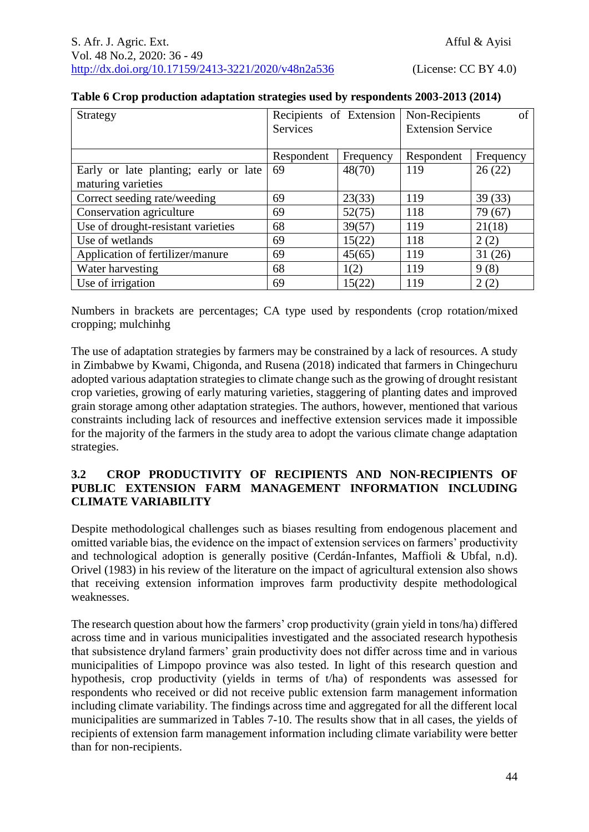| (License: $CC BY 4.0$ ) |  |  |
|-------------------------|--|--|
|-------------------------|--|--|

| Strategy                              | Recipients of Extension |           | Non-Recipients<br>of     |           |
|---------------------------------------|-------------------------|-----------|--------------------------|-----------|
|                                       | <b>Services</b>         |           | <b>Extension Service</b> |           |
|                                       |                         |           |                          |           |
|                                       | Respondent              | Frequency | Respondent               | Frequency |
| Early or late planting; early or late | 69                      | 48(70)    | 119                      | 26(22)    |
| maturing varieties                    |                         |           |                          |           |
| Correct seeding rate/weeding          | 69                      | 23(33)    | 119                      | 39(33)    |
| Conservation agriculture              | 69                      | 52(75)    | 118                      | 79 (67)   |
| Use of drought-resistant varieties    | 68                      | 39(57)    | 119                      | 21(18)    |
| Use of wetlands                       | 69                      | 15(22)    | 118                      | 2(2)      |
| Application of fertilizer/manure      | 69                      | 45(65)    | 119                      | 31(26)    |
| Water harvesting                      | 68                      | 1(2)      | 119                      | 9(8)      |
| Use of irrigation                     | 69                      | 15(22)    | 119                      | 2(2)      |

## **Table 6 Crop production adaptation strategies used by respondents 2003-2013 (2014)**

Numbers in brackets are percentages; CA type used by respondents (crop rotation/mixed cropping; mulchinhg

The use of adaptation strategies by farmers may be constrained by a lack of resources. A study in Zimbabwe by Kwami, Chigonda, and Rusena (2018) indicated that farmers in Chingechuru adopted various adaptation strategies to climate change such as the growing of drought resistant crop varieties, growing of early maturing varieties, staggering of planting dates and improved grain storage among other adaptation strategies. The authors, however, mentioned that various constraints including lack of resources and ineffective extension services made it impossible for the majority of the farmers in the study area to adopt the various climate change adaptation strategies.

## **3.2 CROP PRODUCTIVITY OF RECIPIENTS AND NON-RECIPIENTS OF PUBLIC EXTENSION FARM MANAGEMENT INFORMATION INCLUDING CLIMATE VARIABILITY**

Despite methodological challenges such as biases resulting from endogenous placement and omitted variable bias, the evidence on the impact of extension services on farmers' productivity and technological adoption is generally positive (Cerdán-Infantes, Maffioli & Ubfal, n.d). Orivel (1983) in his review of the literature on the impact of agricultural extension also shows that receiving extension information improves farm productivity despite methodological weaknesses.

The research question about how the farmers' crop productivity (grain yield in tons/ha) differed across time and in various municipalities investigated and the associated research hypothesis that subsistence dryland farmers' grain productivity does not differ across time and in various municipalities of Limpopo province was also tested. In light of this research question and hypothesis, crop productivity (yields in terms of t/ha) of respondents was assessed for respondents who received or did not receive public extension farm management information including climate variability. The findings across time and aggregated for all the different local municipalities are summarized in Tables 7-10. The results show that in all cases, the yields of recipients of extension farm management information including climate variability were better than for non-recipients.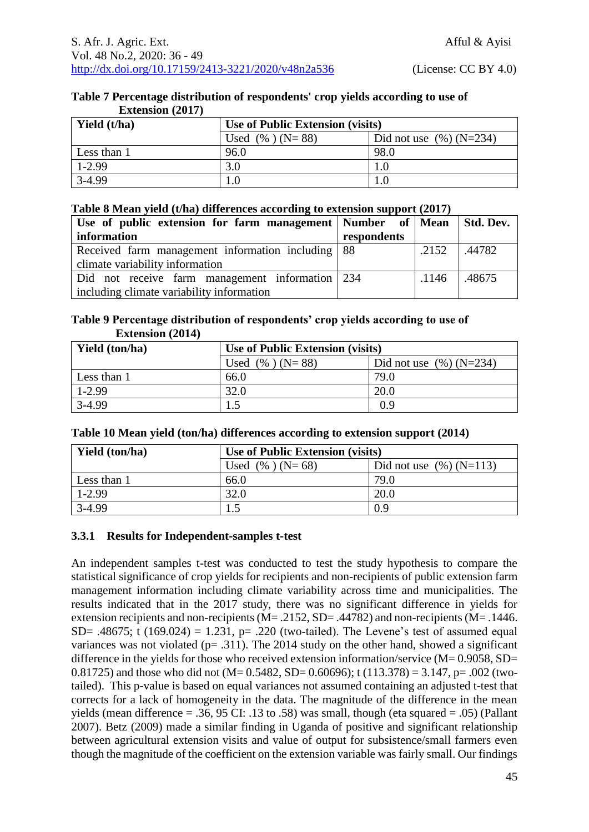|                         | Table 7 Percentage distribution of respondents' crop yields according to use of |
|-------------------------|---------------------------------------------------------------------------------|
| <b>Extension</b> (2017) |                                                                                 |

| Yield (t/ha) | Use of Public Extension (visits) |                           |  |  |
|--------------|----------------------------------|---------------------------|--|--|
|              | Used $(\%)(N=88)$                | Did not use $(\%)(N=234)$ |  |  |
| Less than 1  | 96.0                             | 98.0                      |  |  |
| $1-2.99$     | 3.0                              | 1.0                       |  |  |
| 3-4.99       |                                  | $1.0\,$                   |  |  |

#### **Table 8 Mean yield (t/ha) differences according to extension support (2017)**

| Use of public extension for farm management Number of Mean Std. Dev. |             |       |        |
|----------------------------------------------------------------------|-------------|-------|--------|
| information                                                          | respondents |       |        |
| Received farm management information including 88                    |             | .2152 | 44782  |
| climate variability information                                      |             |       |        |
| Did not receive farm management information 234                      |             | .1146 | .48675 |
| including climate variability information                            |             |       |        |

## **Table 9 Percentage distribution of respondents' crop yields according to use of Extension (2014)**

| <b>Yield</b> (ton/ha) | Use of Public Extension (visits) |                           |  |
|-----------------------|----------------------------------|---------------------------|--|
|                       | Used $(\%)(N=88)$                | Did not use $(\%)(N=234)$ |  |
| Less than 1           | 66.0                             | 79.0                      |  |
| $1-2.99$              | 32.0                             | 20.0                      |  |
| $3-4.99$              |                                  | 0.9                       |  |

|  |  |  | Table 10 Mean yield (ton/ha) differences according to extension support (2014) |  |
|--|--|--|--------------------------------------------------------------------------------|--|
|  |  |  |                                                                                |  |

| <b>Yield</b> (ton/ha) | <b>Use of Public Extension (visits)</b> |                           |  |
|-----------------------|-----------------------------------------|---------------------------|--|
|                       | Used $(\%)(N=68)$                       | Did not use $(\%)(N=113)$ |  |
| Less than 1           | 66.0                                    | 79.0                      |  |
| $1-2.99$              | 32.0                                    | 20.0                      |  |
| $3-4.99$              |                                         | 0.9                       |  |

# **3.3.1 Results for Independent-samples t-test**

An independent samples t-test was conducted to test the study hypothesis to compare the statistical significance of crop yields for recipients and non-recipients of public extension farm management information including climate variability across time and municipalities. The results indicated that in the 2017 study, there was no significant difference in yields for extension recipients and non-recipients (M= .2152, SD= .44782) and non-recipients (M= .1446. SD= .48675; t  $(169.024) = 1.231$ , p= .220 (two-tailed). The Levene's test of assumed equal variances was not violated ( $p = .311$ ). The 2014 study on the other hand, showed a significant difference in the yields for those who received extension information/service (M= 0.9058, SD= 0.81725) and those who did not (M= 0.5482, SD= 0.60696); t (113.378) = 3.147, p= .002 (twotailed). This p-value is based on equal variances not assumed containing an adjusted t-test that corrects for a lack of homogeneity in the data. The magnitude of the difference in the mean yields (mean difference  $= .36, 95 \text{ CI}$ : .13 to .58) was small, though (eta squared  $= .05$ ) (Pallant 2007). Betz (2009) made a similar finding in Uganda of positive and significant relationship between agricultural extension visits and value of output for subsistence/small farmers even though the magnitude of the coefficient on the extension variable was fairly small. Our findings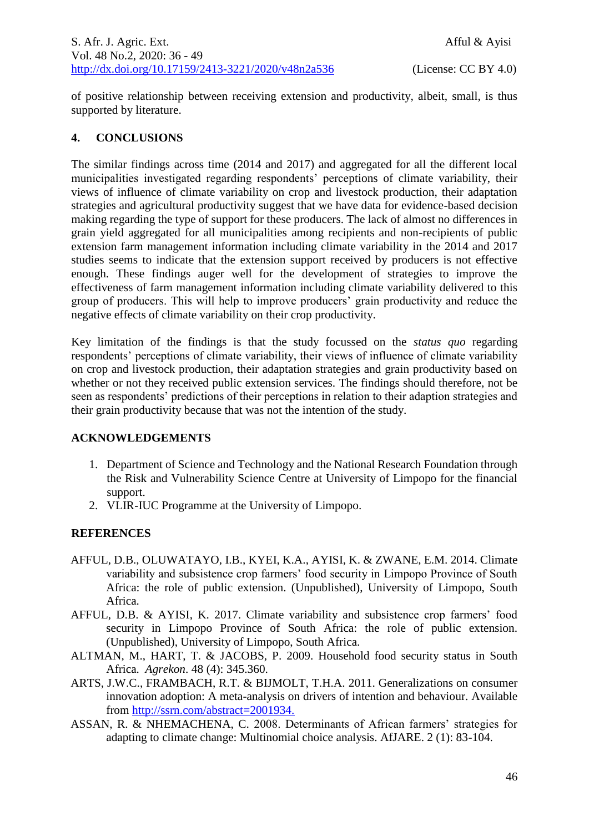of positive relationship between receiving extension and productivity, albeit, small, is thus supported by literature.

# **4. CONCLUSIONS**

The similar findings across time (2014 and 2017) and aggregated for all the different local municipalities investigated regarding respondents' perceptions of climate variability, their views of influence of climate variability on crop and livestock production, their adaptation strategies and agricultural productivity suggest that we have data for evidence-based decision making regarding the type of support for these producers. The lack of almost no differences in grain yield aggregated for all municipalities among recipients and non-recipients of public extension farm management information including climate variability in the 2014 and 2017 studies seems to indicate that the extension support received by producers is not effective enough. These findings auger well for the development of strategies to improve the effectiveness of farm management information including climate variability delivered to this group of producers. This will help to improve producers' grain productivity and reduce the negative effects of climate variability on their crop productivity.

Key limitation of the findings is that the study focussed on the *status quo* regarding respondents' perceptions of climate variability, their views of influence of climate variability on crop and livestock production, their adaptation strategies and grain productivity based on whether or not they received public extension services. The findings should therefore, not be seen as respondents' predictions of their perceptions in relation to their adaption strategies and their grain productivity because that was not the intention of the study.

# **ACKNOWLEDGEMENTS**

- 1. Department of Science and Technology and the National Research Foundation through the Risk and Vulnerability Science Centre at University of Limpopo for the financial support.
- 2. VLIR-IUC Programme at the University of Limpopo.

# **REFERENCES**

- AFFUL, D.B., OLUWATAYO, I.B., KYEI, K.A., AYISI, K. & ZWANE, E.M. 2014. Climate variability and subsistence crop farmers' food security in Limpopo Province of South Africa: the role of public extension. (Unpublished), University of Limpopo, South Africa.
- AFFUL, D.B. & AYISI, K. 2017. Climate variability and subsistence crop farmers' food security in Limpopo Province of South Africa: the role of public extension. (Unpublished), University of Limpopo, South Africa.
- ALTMAN, M., HART, T. & JACOBS, P. 2009. Household food security status in South Africa. *Agrekon*. 48 (4): 345.360.
- ARTS, J.W.C., FRAMBACH, R.T. & BIJMOLT, T.H.A. 2011. Generalizations on consumer innovation adoption: A meta-analysis on drivers of intention and behaviour. Available from [http://ssrn.com/abstract=2001934.](http://ssrn.com/abstract=2001934)
- ASSAN, R. & NHEMACHENA, C. 2008. Determinants of African farmers' strategies for adapting to climate change: Multinomial choice analysis. AfJARE. 2 (1): 83-104.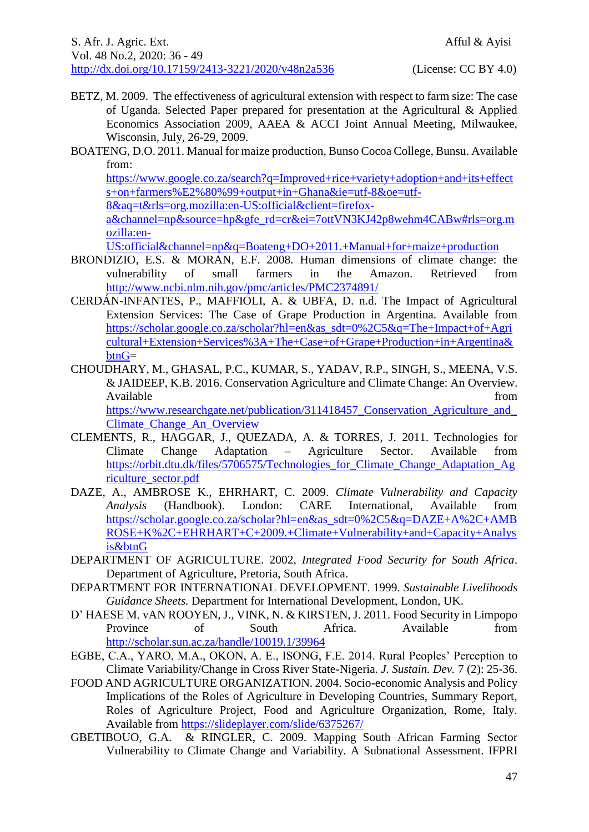- BETZ, M. 2009. The effectiveness of agricultural extension with respect to farm size: The case of Uganda. Selected Paper prepared for presentation at the Agricultural & Applied Economics Association 2009, AAEA & ACCI Joint Annual Meeting, Milwaukee, Wisconsin, July, 26-29, 2009.
- BOATENG, D.O. 2011. Manual for maize production, Bunso Cocoa College, Bunsu. Available from:

[https://www.google.co.za/search?q=Improved+rice+variety+adoption+and+its+effect](https://www.google.co.za/search?q=Improved+rice+variety+adoption+and+its+effects+on+farmers%E2%80%99+output+in+Ghana&ie=utf-8&oe=utf-8&aq=t&rls=org.mozilla:en-US:official&client=firefox-a&channel=np&source=hp&gfe_rd=cr&ei=7ottVN3KJ42p8wehm4CABw#rls=org.mozilla:en-US:official&channel=np&q=Boateng+DO+2011.+Manual+for+maize+production) [s+on+farmers%E2%80%99+output+in+Ghana&ie=utf-8&oe=utf-](https://www.google.co.za/search?q=Improved+rice+variety+adoption+and+its+effects+on+farmers%E2%80%99+output+in+Ghana&ie=utf-8&oe=utf-8&aq=t&rls=org.mozilla:en-US:official&client=firefox-a&channel=np&source=hp&gfe_rd=cr&ei=7ottVN3KJ42p8wehm4CABw#rls=org.mozilla:en-US:official&channel=np&q=Boateng+DO+2011.+Manual+for+maize+production)

[8&aq=t&rls=org.mozilla:en-US:official&client=firefox-](https://www.google.co.za/search?q=Improved+rice+variety+adoption+and+its+effects+on+farmers%E2%80%99+output+in+Ghana&ie=utf-8&oe=utf-8&aq=t&rls=org.mozilla:en-US:official&client=firefox-a&channel=np&source=hp&gfe_rd=cr&ei=7ottVN3KJ42p8wehm4CABw#rls=org.mozilla:en-US:official&channel=np&q=Boateng+DO+2011.+Manual+for+maize+production)

[a&channel=np&source=hp&gfe\\_rd=cr&ei=7ottVN3KJ42p8wehm4CABw#rls=org.m](https://www.google.co.za/search?q=Improved+rice+variety+adoption+and+its+effects+on+farmers%E2%80%99+output+in+Ghana&ie=utf-8&oe=utf-8&aq=t&rls=org.mozilla:en-US:official&client=firefox-a&channel=np&source=hp&gfe_rd=cr&ei=7ottVN3KJ42p8wehm4CABw#rls=org.mozilla:en-US:official&channel=np&q=Boateng+DO+2011.+Manual+for+maize+production) [ozilla:en-](https://www.google.co.za/search?q=Improved+rice+variety+adoption+and+its+effects+on+farmers%E2%80%99+output+in+Ghana&ie=utf-8&oe=utf-8&aq=t&rls=org.mozilla:en-US:official&client=firefox-a&channel=np&source=hp&gfe_rd=cr&ei=7ottVN3KJ42p8wehm4CABw#rls=org.mozilla:en-US:official&channel=np&q=Boateng+DO+2011.+Manual+for+maize+production)

[US:official&channel=np&q=Boateng+DO+2011.+Manual+for+maize+production](https://www.google.co.za/search?q=Improved+rice+variety+adoption+and+its+effects+on+farmers%E2%80%99+output+in+Ghana&ie=utf-8&oe=utf-8&aq=t&rls=org.mozilla:en-US:official&client=firefox-a&channel=np&source=hp&gfe_rd=cr&ei=7ottVN3KJ42p8wehm4CABw#rls=org.mozilla:en-US:official&channel=np&q=Boateng+DO+2011.+Manual+for+maize+production)

- BRONDIZIO, E.S. & MORAN, E.F. 2008. Human dimensions of climate change: the vulnerability of small farmers in the Amazon. Retrieved from <http://www.ncbi.nlm.nih.gov/pmc/articles/PMC2374891/>
- CERDÁN-INFANTES, P., MAFFIOLI, A. & UBFA, D. n.d. The Impact of Agricultural Extension Services: The Case of Grape Production in Argentina. Available from [https://scholar.google.co.za/scholar?hl=en&as\\_sdt=0%2C5&q=The+Impact+of+Agri](https://scholar.google.co.za/scholar?hl=en&as_sdt=0%2C5&q=The+Impact+of+Agricultural+Extension+Services%3A+The+Case+of+Grape+Production+in+Argentina&btnG) [cultural+Extension+Services%3A+The+Case+of+Grape+Production+in+Argentina&](https://scholar.google.co.za/scholar?hl=en&as_sdt=0%2C5&q=The+Impact+of+Agricultural+Extension+Services%3A+The+Case+of+Grape+Production+in+Argentina&btnG) [btnG=](https://scholar.google.co.za/scholar?hl=en&as_sdt=0%2C5&q=The+Impact+of+Agricultural+Extension+Services%3A+The+Case+of+Grape+Production+in+Argentina&btnG)
- CHOUDHARY, M., GHASAL, P.C., KUMAR, S., YADAV, R.P., SINGH, S., MEENA, V.S. & JAIDEEP, K.B. 2016. Conservation Agriculture and Climate Change: An Overview. Available from the state of the state of the state of the state of the state of the state of the state of the state of the state of the state of the state of the state of the state of the state of the state of the state of https://www.researchgate.net/publication/311418457 Conservation Agriculture and [Climate\\_Change\\_An\\_Overview](https://www.researchgate.net/publication/311418457_Conservation_Agriculture_and_Climate_Change_An_Overview)
- CLEMENTS, R., HAGGAR, J., QUEZADA, A. & TORRES, J. 2011. Technologies for Climate Change Adaptation – Agriculture Sector. Available from [https://orbit.dtu.dk/files/5706575/Technologies\\_for\\_Climate\\_Change\\_Adaptation\\_Ag](https://orbit.dtu.dk/files/5706575/Technologies_for_Climate_Change_Adaptation_Agriculture_sector.pdf) [riculture\\_sector.pdf](https://orbit.dtu.dk/files/5706575/Technologies_for_Climate_Change_Adaptation_Agriculture_sector.pdf)
- DAZE, A., AMBROSE K., EHRHART, C. 2009. *Climate Vulnerability and Capacity Analysis* (Handbook). London: CARE International, Available from [https://scholar.google.co.za/scholar?hl=en&as\\_sdt=0%2C5&q=DAZE+A%2C+AMB](https://scholar.google.co.za/scholar?hl=en&as_sdt=0%2C5&q=DAZE+A%2C+AMBROSE+K%2C+EHRHART+C+2009.+Climate+Vulnerability+and+Capacity+Analysis&btnG) [ROSE+K%2C+EHRHART+C+2009.+Climate+Vulnerability+and+Capacity+Analys](https://scholar.google.co.za/scholar?hl=en&as_sdt=0%2C5&q=DAZE+A%2C+AMBROSE+K%2C+EHRHART+C+2009.+Climate+Vulnerability+and+Capacity+Analysis&btnG) [is&btnG](https://scholar.google.co.za/scholar?hl=en&as_sdt=0%2C5&q=DAZE+A%2C+AMBROSE+K%2C+EHRHART+C+2009.+Climate+Vulnerability+and+Capacity+Analysis&btnG)
- DEPARTMENT OF AGRICULTURE. 2002, *Integrated Food Security for South Africa*. Department of Agriculture, Pretoria, South Africa.
- DEPARTMENT FOR INTERNATIONAL DEVELOPMENT. 1999. *Sustainable Livelihoods Guidance Sheets.* Department for International Development, London, UK.
- D' HAESE M, vAN ROOYEN, J., VINK, N. & KIRSTEN, J. 2011. Food Security in Limpopo Province of South Africa. Available from <http://scholar.sun.ac.za/handle/10019.1/39964>
- EGBE, C.A., YARO, M.A., OKON, A. E., ISONG, F.E. 2014. Rural Peoples' Perception to Climate Variability/Change in Cross River State-Nigeria. *J. Sustain. Dev.* 7 (2): 25-36.
- FOOD AND AGRICULTURE ORGANIZATION. 2004. Socio-economic Analysis and Policy Implications of the Roles of Agriculture in Developing Countries, Summary Report, Roles of Agriculture Project, Food and Agriculture Organization, Rome, Italy. Available from<https://slideplayer.com/slide/6375267/>
- GBETIBOUO, G.A. & RINGLER, C. 2009. Mapping South African Farming Sector Vulnerability to Climate Change and Variability. A Subnational Assessment. IFPRI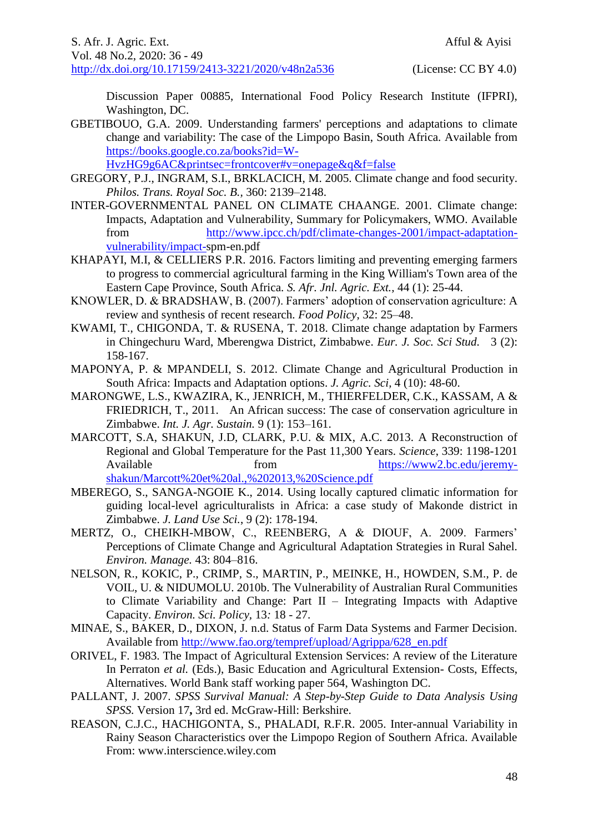Discussion Paper 00885, International Food Policy Research Institute (IFPRI), Washington, DC.

- GBETIBOUO, G.A. 2009. Understanding farmers' perceptions and adaptations to climate change and variability: The case of the Limpopo Basin, South Africa. Available from [https://books.google.co.za/books?id=W-](https://books.google.co.za/books?id=W-HvzHG9g6AC&printsec=frontcover#v=onepage&q&f=false)
	- [HvzHG9g6AC&printsec=frontcover#v=onepage&q&f=false](https://books.google.co.za/books?id=W-HvzHG9g6AC&printsec=frontcover#v=onepage&q&f=false)
- GREGORY, P.J., INGRAM, S.I., BRKLACICH, M. 2005. Climate change and food security. *Philos. Trans. Royal Soc. B.,* 360: 2139–2148.
- INTER-GOVERNMENTAL PANEL ON CLIMATE CHAANGE. 2001. Climate change: Impacts, Adaptation and Vulnerability, Summary for Policymakers, WMO. Available from [http://www.ipcc.ch/pdf/climate-changes-2001/impact-adaptation](http://www.ipcc.ch/pdf/climate-changes-2001/impact-adaptation-vulnerability/impact-)[vulnerability/impact-s](http://www.ipcc.ch/pdf/climate-changes-2001/impact-adaptation-vulnerability/impact-)pm-en.pdf
- KHAPAYI, M.I, & CELLIERS P.R. 2016. Factors limiting and preventing emerging farmers to progress to commercial agricultural farming in the King William's Town area of the Eastern Cape Province, South Africa. *S. Afr. Jnl. Agric. Ext.,* 44 (1): 25-44.
- KNOWLER, D. & BRADSHAW, B. (2007). Farmers' adoption of conservation agriculture: A review and synthesis of recent research. *Food Policy*, 32: 25–48.
- KWAMI, T., CHIGONDA, T. & RUSENA, T. 2018. Climate change adaptation by Farmers in Chingechuru Ward, Mberengwa District, Zimbabwe. *Eur. J. Soc. Sci Stud.* 3 (2): 158-167.
- MAPONYA, P. & MPANDELI, S. 2012. Climate Change and Agricultural Production in South Africa: Impacts and Adaptation options. *J. Agric. Sci,* 4 (10): 48-60.
- MARONGWE, L.S., KWAZIRA, K., JENRICH, M., THIERFELDER, C.K., KASSAM, A & FRIEDRICH, T., 2011. An African success: The case of conservation agriculture in Zimbabwe. *Int. J. Agr. Sustain.* 9 (1): 153–161.
- MARCOTT, S.A, SHAKUN, J.D, CLARK, P.U. & MIX, A.C. 2013. A Reconstruction of Regional and Global Temperature for the Past 11,300 Years. *Science*, 339: 1198-1201 Available from [https://www2.bc.edu/jeremy](https://www2.bc.edu/jeremy-shakun/Marcott%20et%20al.,%202013,%20Science.pdf)[shakun/Marcott%20et%20al.,%202013,%20Science.pdf](https://www2.bc.edu/jeremy-shakun/Marcott%20et%20al.,%202013,%20Science.pdf)
- MBEREGO, S., SANGA-NGOIE K., 2014. Using locally captured climatic information for guiding local-level agriculturalists in Africa: a case study of Makonde district in Zimbabwe. *J. Land Use Sci.*, 9 (2): 178-194.
- MERTZ, O., CHEIKH-MBOW, C., REENBERG, A & DIOUF, A. 2009. Farmers' Perceptions of Climate Change and Agricultural Adaptation Strategies in Rural Sahel. *Environ. Manage.* 43: 804–816.
- NELSON, R., KOKIC, P., CRIMP, S., MARTIN, P., MEINKE, H., HOWDEN, S.M., P. de VOIL, U. & NIDUMOLU. 2010b. The Vulnerability of Australian Rural Communities to Climate Variability and Change: Part II – Integrating Impacts with Adaptive Capacity. *Environ. Sci. Policy,* 13*:* 18 - 27.
- MINAE, S., BAKER, D., DIXON, J. n.d. Status of Farm Data Systems and Farmer Decision. Available from [http://www.fao.org/tempref/upload/Agrippa/628\\_en.pdf](http://www.fao.org/tempref/upload/Agrippa/628_en.pdf)
- ORIVEL, F. 1983. The Impact of Agricultural Extension Services: A review of the Literature In Perraton *et al.* (Eds.), Basic Education and Agricultural Extension- Costs, Effects, Alternatives. World Bank staff working paper 564, Washington DC.
- PALLANT, J. 2007. *SPSS Survival Manual: A Step-by-Step Guide to Data Analysis Using SPSS.* Version 17**,** 3rd ed. McGraw-Hill: Berkshire.
- REASON, C.J.C., HACHIGONTA, S., PHALADI, R.F.R. 2005. Inter-annual Variability in Rainy Season Characteristics over the Limpopo Region of Southern Africa. Available From: www.interscience.wiley.com